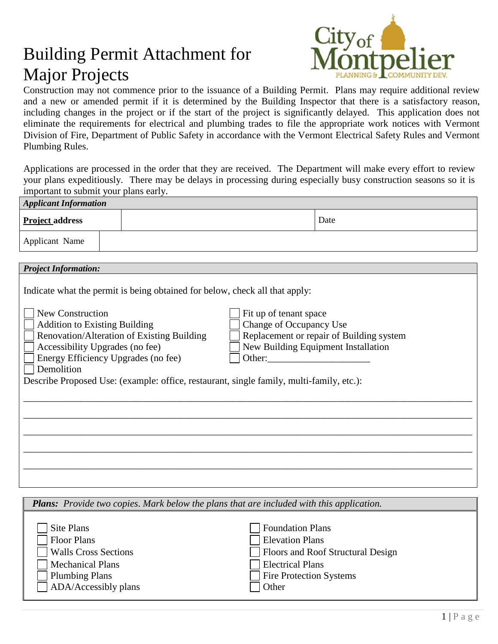## Building Permit Attachment for Major Projects



Construction may not commence prior to the issuance of a Building Permit. Plans may require additional review and a new or amended permit if it is determined by the Building Inspector that there is a satisfactory reason, including changes in the project or if the start of the project is significantly delayed. This application does not eliminate the requirements for electrical and plumbing trades to file the appropriate work notices with Vermont Division of Fire, Department of Public Safety in accordance with the Vermont Electrical Safety Rules and Vermont Plumbing Rules.

Applications are processed in the order that they are received. The Department will make every effort to review your plans expeditiously. There may be delays in processing during especially busy construction seasons so it is important to submit your plans early.

| <b>Applicant Information</b>                                                                                                                                                                                                                                                                                                                                                                                                                                                                                                                     |  |  |  |      |  |  |  |
|--------------------------------------------------------------------------------------------------------------------------------------------------------------------------------------------------------------------------------------------------------------------------------------------------------------------------------------------------------------------------------------------------------------------------------------------------------------------------------------------------------------------------------------------------|--|--|--|------|--|--|--|
| <b>Project address</b>                                                                                                                                                                                                                                                                                                                                                                                                                                                                                                                           |  |  |  | Date |  |  |  |
| Applicant Name                                                                                                                                                                                                                                                                                                                                                                                                                                                                                                                                   |  |  |  |      |  |  |  |
|                                                                                                                                                                                                                                                                                                                                                                                                                                                                                                                                                  |  |  |  |      |  |  |  |
|                                                                                                                                                                                                                                                                                                                                                                                                                                                                                                                                                  |  |  |  |      |  |  |  |
| <b>Project Information:</b><br>Indicate what the permit is being obtained for below, check all that apply:<br>New Construction<br>Fit up of tenant space<br>Change of Occupancy Use<br><b>Addition to Existing Building</b><br>Replacement or repair of Building system<br>Renovation/Alteration of Existing Building<br>New Building Equipment Installation<br>Accessibility Upgrades (no fee)<br>Energy Efficiency Upgrades (no fee)<br>Demolition<br>Describe Proposed Use: (example: office, restaurant, single family, multi-family, etc.): |  |  |  |      |  |  |  |
|                                                                                                                                                                                                                                                                                                                                                                                                                                                                                                                                                  |  |  |  |      |  |  |  |
|                                                                                                                                                                                                                                                                                                                                                                                                                                                                                                                                                  |  |  |  |      |  |  |  |
|                                                                                                                                                                                                                                                                                                                                                                                                                                                                                                                                                  |  |  |  |      |  |  |  |
|                                                                                                                                                                                                                                                                                                                                                                                                                                                                                                                                                  |  |  |  |      |  |  |  |

| <b>Plans:</b> Provide two copies. Mark below the plans that are included with this application. |                                   |  |  |  |
|-------------------------------------------------------------------------------------------------|-----------------------------------|--|--|--|
| Site Plans                                                                                      | <b>Foundation Plans</b>           |  |  |  |
| Floor Plans                                                                                     | <b>Elevation Plans</b>            |  |  |  |
| <b>Walls Cross Sections</b>                                                                     | Floors and Roof Structural Design |  |  |  |
| <b>Mechanical Plans</b>                                                                         | <b>Electrical Plans</b>           |  |  |  |
| Plumbing Plans                                                                                  | <b>Fire Protection Systems</b>    |  |  |  |
| ADA/Accessibly plans                                                                            | Other                             |  |  |  |